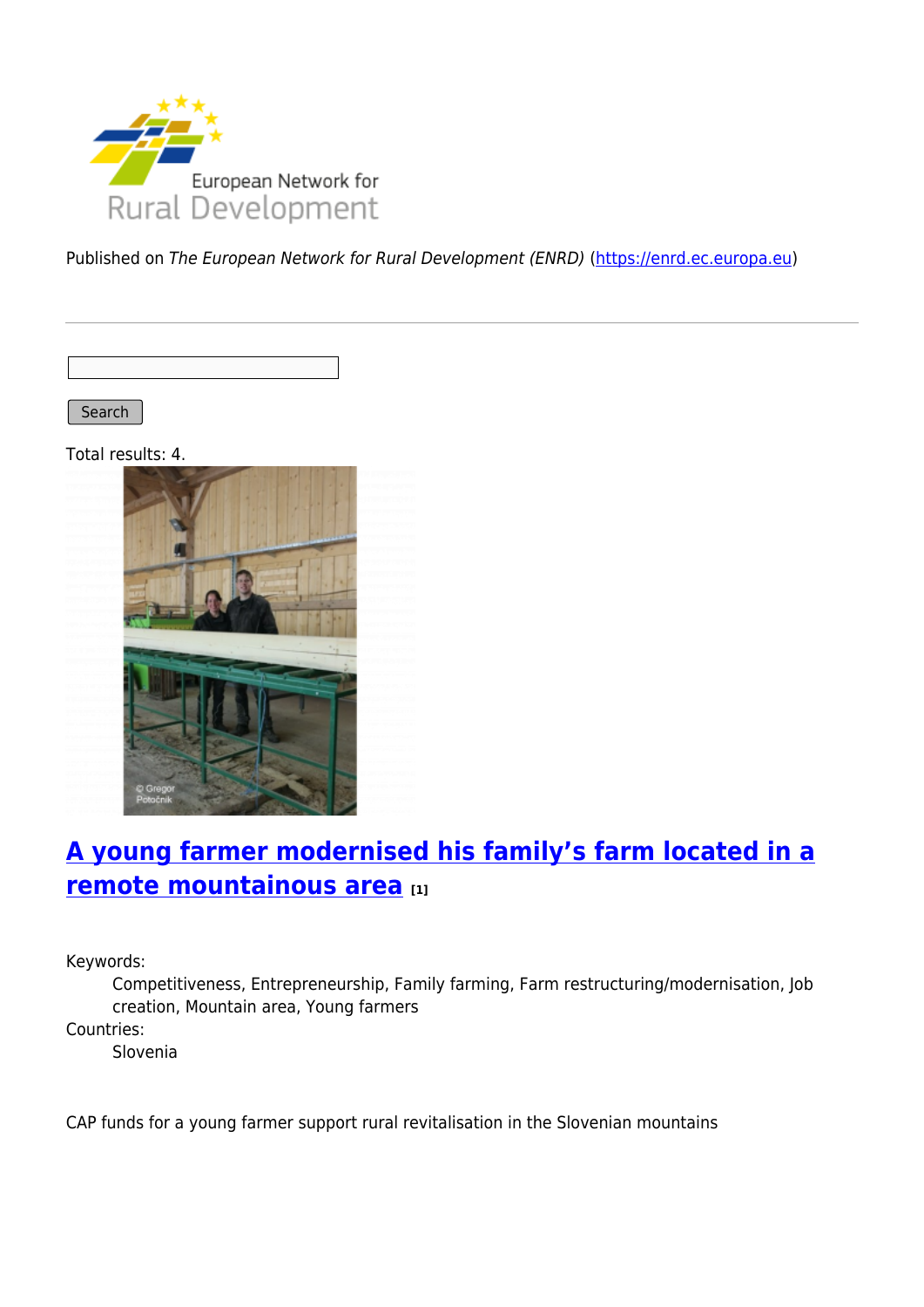

Published on The European Network for Rural Development (ENRD) [\(https://enrd.ec.europa.eu](https://enrd.ec.europa.eu))

Search

Total results: 4.



# **[A young farmer modernised his family's farm located in a](https://enrd.ec.europa.eu/projects-practice/young-farmer-modernised-his-familys-farm-located-remote-mountainous-area_en) [remote mountainous area](https://enrd.ec.europa.eu/projects-practice/young-farmer-modernised-his-familys-farm-located-remote-mountainous-area_en) [1]**

Keywords:

Competitiveness, Entrepreneurship, Family farming, Farm restructuring/modernisation, Job creation, Mountain area, Young farmers

Countries:

Slovenia

CAP funds for a young farmer support rural revitalisation in the Slovenian mountains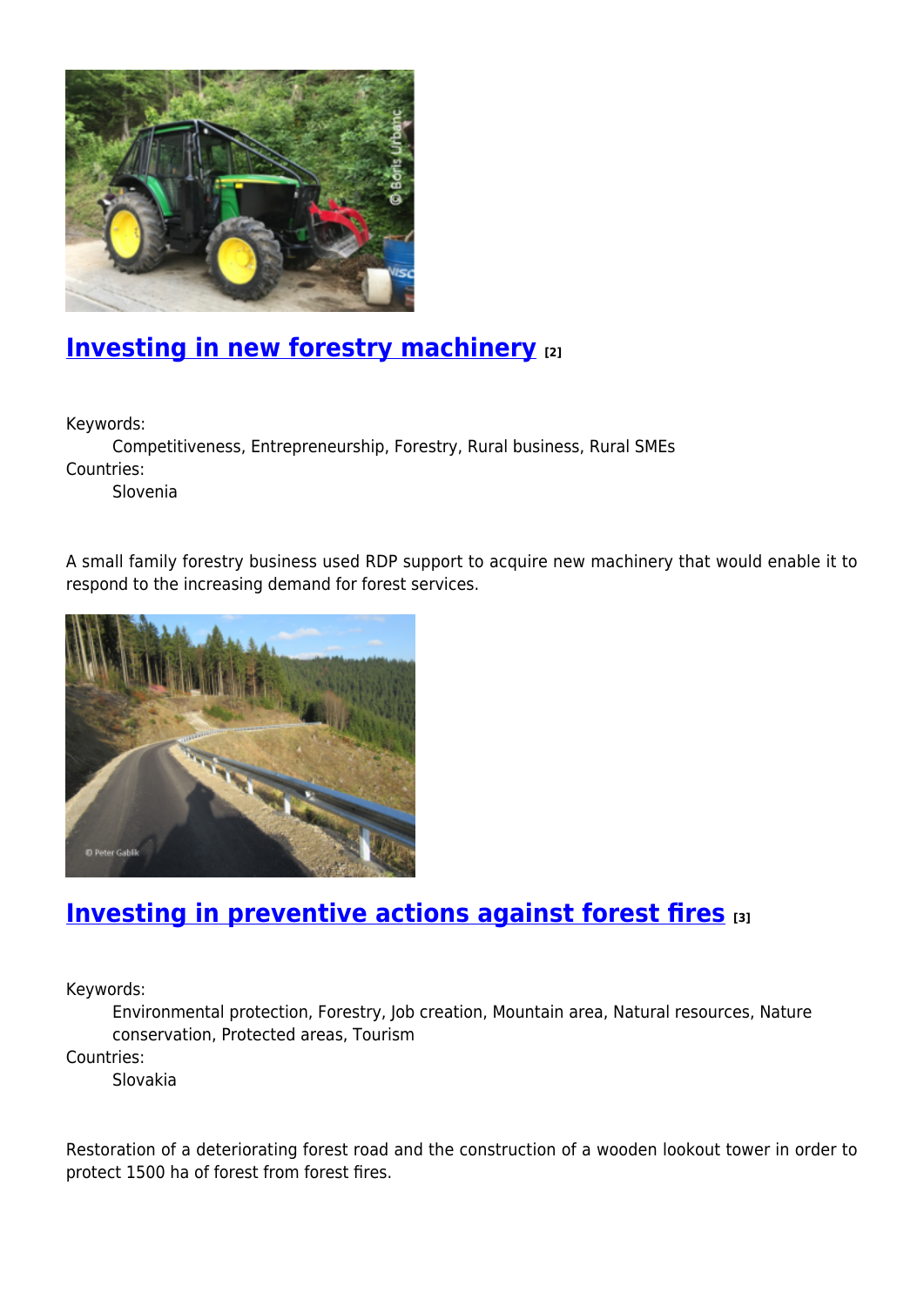

### **[Investing in new forestry machinery](https://enrd.ec.europa.eu/projects-practice/investing-new-forestry-machinery_en) [2]**

Keywords:

Competitiveness, Entrepreneurship, Forestry, Rural business, Rural SMEs Countries:

Slovenia

A small family forestry business used RDP support to acquire new machinery that would enable it to respond to the increasing demand for forest services.



#### **[Investing in preventive actions against forest fires](https://enrd.ec.europa.eu/projects-practice/investing-preventive-actions-against-forest-fires_en) [3]**

Keywords:

Environmental protection, Forestry, Job creation, Mountain area, Natural resources, Nature conservation, Protected areas, Tourism

Countries:

Slovakia

Restoration of a deteriorating forest road and the construction of a wooden lookout tower in order to protect 1500 ha of forest from forest fires.